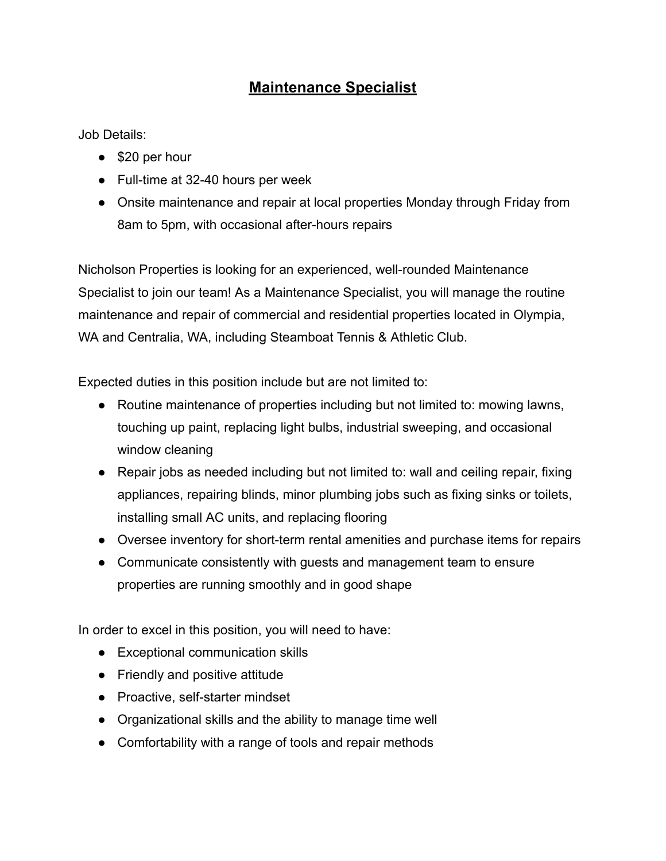## **Maintenance Specialist**

Job Details:

- \$20 per hour
- Full-time at 32-40 hours per week
- Onsite maintenance and repair at local properties Monday through Friday from 8am to 5pm, with occasional after-hours repairs

Nicholson Properties is looking for an experienced, well-rounded Maintenance Specialist to join our team! As a Maintenance Specialist, you will manage the routine maintenance and repair of commercial and residential properties located in Olympia, WA and Centralia, WA, including Steamboat Tennis & Athletic Club.

Expected duties in this position include but are not limited to:

- Routine maintenance of properties including but not limited to: mowing lawns, touching up paint, replacing light bulbs, industrial sweeping, and occasional window cleaning
- Repair jobs as needed including but not limited to: wall and ceiling repair, fixing appliances, repairing blinds, minor plumbing jobs such as fixing sinks or toilets, installing small AC units, and replacing flooring
- Oversee inventory for short-term rental amenities and purchase items for repairs
- Communicate consistently with guests and management team to ensure properties are running smoothly and in good shape

In order to excel in this position, you will need to have:

- Exceptional communication skills
- Friendly and positive attitude
- Proactive, self-starter mindset
- Organizational skills and the ability to manage time well
- Comfortability with a range of tools and repair methods